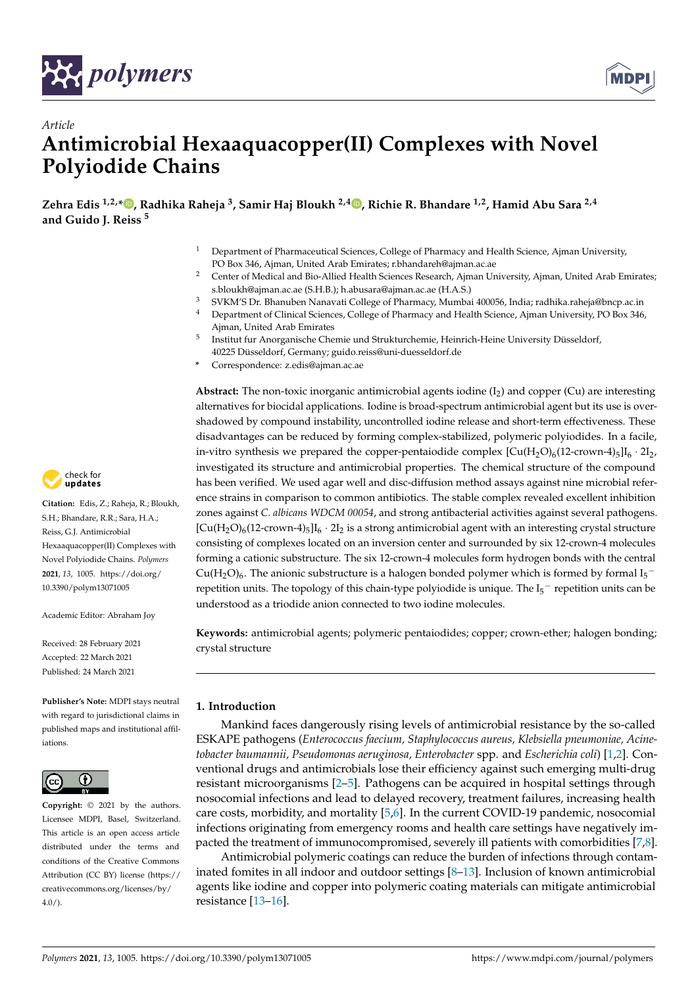



# *Article* **Antimicrobial Hexaaquacopper(II) Complexes with Novel Polyiodide Chains**

**Zehra Edis 1,2,\* , Radhika Raheja <sup>3</sup> , Samir Haj Bloukh 2,4 , Richie R. Bhandare 1,2, Hamid Abu Sara 2,4 and Guido J. Reiss <sup>5</sup>**

- <sup>1</sup> Department of Pharmaceutical Sciences, College of Pharmacy and Health Science, Ajman University, PO Box 346, Ajman, United Arab Emirates; r.bhandareh@ajman.ac.ae
- <sup>2</sup> Center of Medical and Bio-Allied Health Sciences Research, Ajman University, Ajman, United Arab Emirates; s.bloukh@ajman.ac.ae (S.H.B.); h.abusara@ajman.ac.ae (H.A.S.)
- <sup>3</sup> SVKM'S Dr. Bhanuben Nanavati College of Pharmacy, Mumbai 400056, India; radhika.raheja@bncp.ac.in
- <sup>4</sup> Department of Clinical Sciences, College of Pharmacy and Health Science, Ajman University, PO Box 346, Ajman, United Arab Emirates
- 5 Institut fur Anorganische Chemie und Strukturchemie, Heinrich-Heine University Düsseldorf, 40225 Düsseldorf, Germany; guido.reiss@uni-duesseldorf.de
- **\*** Correspondence: z.edis@ajman.ac.ae

Abstract: The non-toxic inorganic antimicrobial agents iodine (I<sub>2</sub>) and copper (Cu) are interesting alternatives for biocidal applications. Iodine is broad-spectrum antimicrobial agent but its use is overshadowed by compound instability, uncontrolled iodine release and short-term effectiveness. These disadvantages can be reduced by forming complex-stabilized, polymeric polyiodides. In a facile, in-vitro synthesis we prepared the copper-pentaiodide complex  $[Cu(H<sub>2</sub>O)<sub>6</sub>(12-crown-4)<sub>5</sub>]I<sub>6</sub> \cdot 2I<sub>2</sub>$ , investigated its structure and antimicrobial properties. The chemical structure of the compound has been verified. We used agar well and disc-diffusion method assays against nine microbial reference strains in comparison to common antibiotics. The stable complex revealed excellent inhibition zones against *C. albicans WDCM 00054*, and strong antibacterial activities against several pathogens.  $[Cu(H<sub>2</sub>O)<sub>6</sub>(12-crown-4)<sub>5</sub>]I<sub>6</sub> · 2I<sub>2</sub>$  is a strong antimicrobial agent with an interesting crystal structure consisting of complexes located on an inversion center and surrounded by six 12-crown-4 molecules forming a cationic substructure. The six 12-crown-4 molecules form hydrogen bonds with the central  $Cu(H<sub>2</sub>O)<sub>6</sub>$ . The anionic substructure is a halogen bonded polymer which is formed by formal I<sub>5</sub><sup>-</sup> repetition units. The topology of this chain-type polyiodide is unique. The  $I_5^-$  repetition units can be understood as a triodide anion connected to two iodine molecules.

**Keywords:** antimicrobial agents; polymeric pentaiodides; copper; crown-ether; halogen bonding; crystal structure

# **1. Introduction**

Mankind faces dangerously rising levels of antimicrobial resistance by the so-called ESKAPE pathogens (*Enterococcus faecium, Staphylococcus aureus, Klebsiella pneumoniae, Acinetobacter baumannii, Pseudomonas aeruginosa, Enterobacter* spp. and *Escherichia coli*) [1,2]. Conventional drugs and antimicrobials lose their efficiency against such emerging multi-drug resistant microorganisms [2–5]. Pathogens can be acquired in hospital settings through nosocomial infections and lead to delayed recovery, treatment failures, increasing health care costs, morbidity, and mortality [5,6]. In the current COVID-19 pandemic, nosocomial infections originating from emergency rooms and health care settings have negatively impacted the treatment of immunocompromised, severely ill patients with comorbidities [7,8].

Antimicrobial polymeric coatings can reduce the burden of infections through contaminated fomites in all indoor and outdoor settings [8–13]. Inclusion of known antimicrobial agents like iodine and copper into polymeric coating materials can mitigate antimicrobial resistance [13–16].



**Citation:** Edis, Z.; Raheja, R.; Bloukh, S.H.; Bhandare, R.R.; Sara, H.A.; Reiss, G.J. Antimicrobial Hexaaquacopper(II) Complexes with Novel Polyiodide Chains. *Polymers* **2021**, *13*, 1005. https://doi.org/ 10.3390/polym13071005

Academic Editor: Abraham Joy

Received: 28 February 2021 Accepted: 22 March 2021 Published: 24 March 2021

**Publisher's Note:** MDPI stays neutral with regard to jurisdictional claims in published maps and institutional affiliations.



**Copyright:** © 2021 by the authors. Licensee MDPI, Basel, Switzerland. This article is an open access article distributed under the terms and conditions of the Creative Commons Attribution (CC BY) license (https:// creativecommons.org/licenses/by/  $4.0/$ ).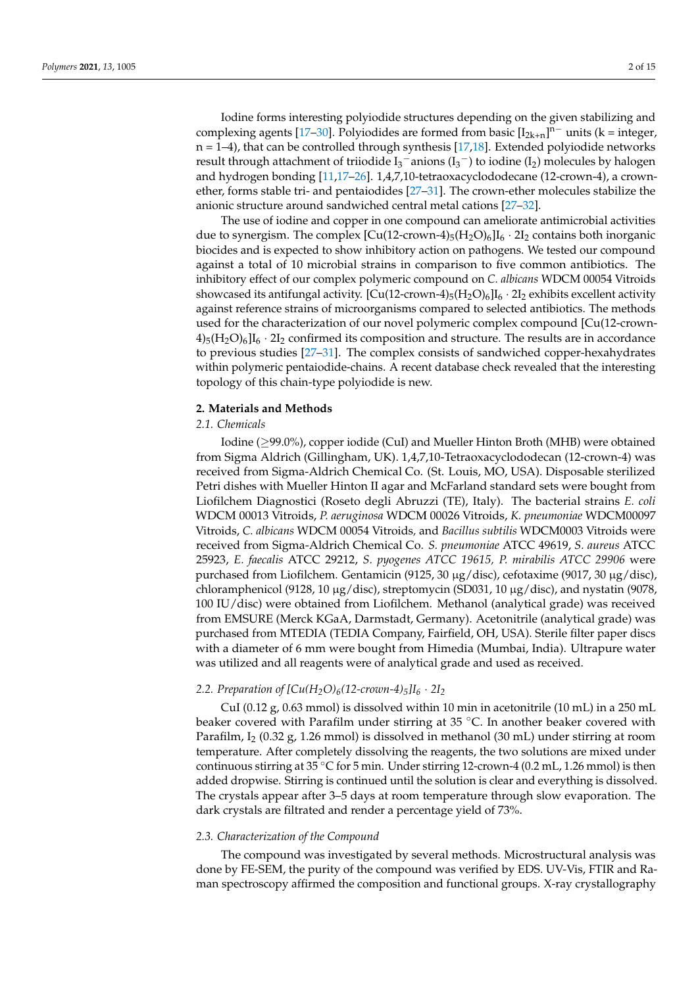Iodine forms interesting polyiodide structures depending on the given stabilizing and complexing agents [17–30]. Polyiodides are formed from basic  $[I_{2k+n}]^{n-}$  units (k = integer,  $n = 1-4$ ), that can be controlled through synthesis [17,18]. Extended polyiodide networks result through attachment of triiodide  $I_3^-$  anions ( $I_3^-$ ) to iodine ( $I_2$ ) molecules by halogen and hydrogen bonding [11,17–26]. 1,4,7,10-tetraoxacyclododecane (12-crown-4), a crownether, forms stable tri- and pentaiodides [27–31]. The crown-ether molecules stabilize the anionic structure around sandwiched central metal cations [27–32].

The use of iodine and copper in one compound can ameliorate antimicrobial activities due to synergism. The complex  $\left[\text{Cu}(12\text{-}{\text{crown}}-4)_{5}(\text{H}_{2}\text{O})_{6}\right]I_{6}\cdot 2I_{2}$  contains both inorganic biocides and is expected to show inhibitory action on pathogens. We tested our compound against a total of 10 microbial strains in comparison to five common antibiotics. The inhibitory effect of our complex polymeric compound on *C. albicans* WDCM 00054 Vitroids showcased its antifungal activity.  $\left[\text{Cu}(12\text{-}\text{crown-4})_5(\text{H}_2\text{O})_6\right]I_6 \cdot 2I_2$  exhibits excellent activity against reference strains of microorganisms compared to selected antibiotics. The methods used for the characterization of our novel polymeric complex compound [Cu(12-crown- $4$ <sub>5</sub>(H<sub>2</sub>O)<sub>6</sub>]I<sub>6</sub> · 2I<sub>2</sub> confirmed its composition and structure. The results are in accordance to previous studies [27–31]. The complex consists of sandwiched copper-hexahydrates within polymeric pentaiodide-chains. A recent database check revealed that the interesting topology of this chain-type polyiodide is new.

#### **2. Materials and Methods**

# *2.1. Chemicals*

Iodine (≥99.0%), copper iodide (CuI) and Mueller Hinton Broth (MHB) were obtained from Sigma Aldrich (Gillingham, UK). 1,4,7,10-Tetraoxacyclododecan (12-crown-4) was received from Sigma-Aldrich Chemical Co. (St. Louis, MO, USA). Disposable sterilized Petri dishes with Mueller Hinton II agar and McFarland standard sets were bought from Liofilchem Diagnostici (Roseto degli Abruzzi (TE), Italy). The bacterial strains *E. coli* WDCM 00013 Vitroids, *P. aeruginosa* WDCM 00026 Vitroids, *K. pneumoniae* WDCM00097 Vitroids, *C. albicans* WDCM 00054 Vitroids*,* and *Bacillus subtilis* WDCM0003 Vitroids were received from Sigma-Aldrich Chemical Co. *S. pneumoniae* ATCC 49619, *S. aureus* ATCC 25923, *E. faecalis* ATCC 29212, *S. pyogenes ATCC 19615, P. mirabilis ATCC 29906* were purchased from Liofilchem. Gentamicin (9125, 30 µg/disc), cefotaxime (9017, 30 µg/disc), chloramphenicol (9128, 10  $\mu$ g/disc), streptomycin (SD031, 10  $\mu$ g/disc), and nystatin (9078, 100 IU/disc) were obtained from Liofilchem. Methanol (analytical grade) was received from EMSURE (Merck KGaA, Darmstadt, Germany). Acetonitrile (analytical grade) was purchased from MTEDIA (TEDIA Company, Fairfield, OH, USA). Sterile filter paper discs with a diameter of 6 mm were bought from Himedia (Mumbai, India). Ultrapure water was utilized and all reagents were of analytical grade and used as received.

## 2.2. Preparation of  $[Cu(H_2O)_6(12\text{-}crown-4)_5]I_6 \cdot 2I_2$

CuI (0.12  $g$ , 0.63 mmol) is dissolved within 10 min in acetonitrile (10 mL) in a 250 mL beaker covered with Parafilm under stirring at 35 °C. In another beaker covered with Parafilm, I<sub>2</sub> (0.32 g, 1.26 mmol) is dissolved in methanol (30 mL) under stirring at room temperature. After completely dissolving the reagents, the two solutions are mixed under continuous stirring at 35 ◦C for 5 min. Under stirring 12-crown-4 (0.2 mL, 1.26 mmol) is then added dropwise. Stirring is continued until the solution is clear and everything is dissolved. The crystals appear after 3–5 days at room temperature through slow evaporation. The dark crystals are filtrated and render a percentage yield of 73%.

#### *2.3. Characterization of the Compound*

The compound was investigated by several methods. Microstructural analysis was done by FE-SEM, the purity of the compound was verified by EDS. UV-Vis, FTIR and Raman spectroscopy affirmed the composition and functional groups. X-ray crystallography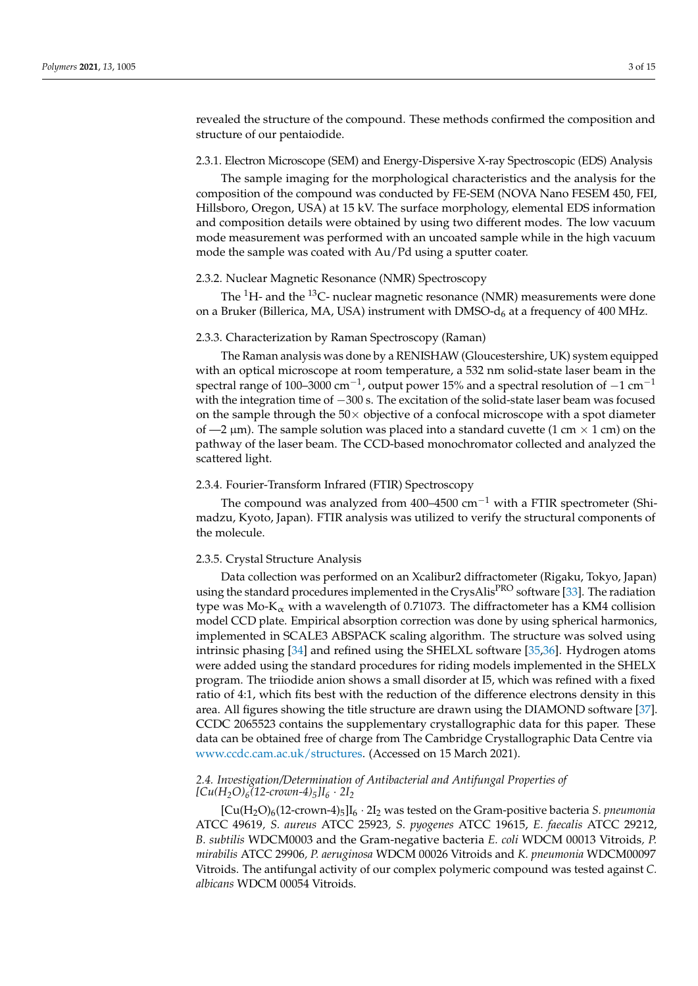revealed the structure of the compound. These methods confirmed the composition and structure of our pentaiodide.

### 2.3.1. Electron Microscope (SEM) and Energy-Dispersive X-ray Spectroscopic (EDS) Analysis

The sample imaging for the morphological characteristics and the analysis for the composition of the compound was conducted by FE-SEM (NOVA Nano FESEM 450, FEI, Hillsboro, Oregon, USA) at 15 kV. The surface morphology, elemental EDS information and composition details were obtained by using two different modes. The low vacuum mode measurement was performed with an uncoated sample while in the high vacuum mode the sample was coated with Au/Pd using a sputter coater.

## 2.3.2. Nuclear Magnetic Resonance (NMR) Spectroscopy

The  ${}^{1}$ H- and the  ${}^{13}$ C- nuclear magnetic resonance (NMR) measurements were done on a Bruker (Billerica, MA, USA) instrument with DMSO- $d_6$  at a frequency of 400 MHz.

# 2.3.3. Characterization by Raman Spectroscopy (Raman)

The Raman analysis was done by a RENISHAW (Gloucestershire, UK) system equipped with an optical microscope at room temperature, a 532 nm solid-state laser beam in the spectral range of 100–3000 cm<sup>-1</sup>, output power 15% and a spectral resolution of -1 cm<sup>-1</sup> with the integration time of −300 s. The excitation of the solid-state laser beam was focused on the sample through the  $50\times$  objective of a confocal microscope with a spot diameter of  $-2 \mu m$ ). The sample solution was placed into a standard cuvette (1 cm  $\times$  1 cm) on the pathway of the laser beam. The CCD-based monochromator collected and analyzed the scattered light.

#### 2.3.4. Fourier-Transform Infrared (FTIR) Spectroscopy

The compound was analyzed from 400–4500 cm−<sup>1</sup> with a FTIR spectrometer (Shimadzu, Kyoto, Japan). FTIR analysis was utilized to verify the structural components of the molecule.

## 2.3.5. Crystal Structure Analysis

Data collection was performed on an Xcalibur2 diffractometer (Rigaku, Tokyo, Japan) using the standard procedures implemented in the CrysAlis<sup>PRO</sup> software [33]. The radiation type was  $Mo-K_{\alpha}$  with a wavelength of 0.71073. The diffractometer has a KM4 collision model CCD plate. Empirical absorption correction was done by using spherical harmonics, implemented in SCALE3 ABSPACK scaling algorithm. The structure was solved using intrinsic phasing [34] and refined using the SHELXL software [35,36]. Hydrogen atoms were added using the standard procedures for riding models implemented in the SHELX program. The triiodide anion shows a small disorder at I5, which was refined with a fixed ratio of 4:1, which fits best with the reduction of the difference electrons density in this area. All figures showing the title structure are drawn using the DIAMOND software [37]. CCDC 2065523 contains the supplementary crystallographic data for this paper. These data can be obtained free of charge from The Cambridge Crystallographic Data Centre via www.ccdc.cam.ac.uk/structures. (Accessed on 15 March 2021).

# *2.4. Investigation/Determination of Antibacterial and Antifungal Properties of*  $[Cu(H_2O)_6(12$ -crown-4)<sup> $5]I_6 \cdot 2I_2$ </sup>

 $[Cu(H<sub>2</sub>O)<sub>6</sub>(12-crown-4)<sub>5</sub>]*I*<sub>6</sub> · 2*I*<sub>2</sub> was tested on the Gram-positive bacteria *S. preumonia*$ ATCC 49619*, S. aureus* ATCC 25923*, S. pyogenes* ATCC 19615, *E. faecalis* ATCC 29212, *B. subtilis* WDCM0003 and the Gram-negative bacteria *E. coli* WDCM 00013 Vitroids*, P. mirabilis* ATCC 29906*, P. aeruginosa* WDCM 00026 Vitroids and *K. pneumonia* WDCM00097 Vitroids. The antifungal activity of our complex polymeric compound was tested against *C. albicans* WDCM 00054 Vitroids.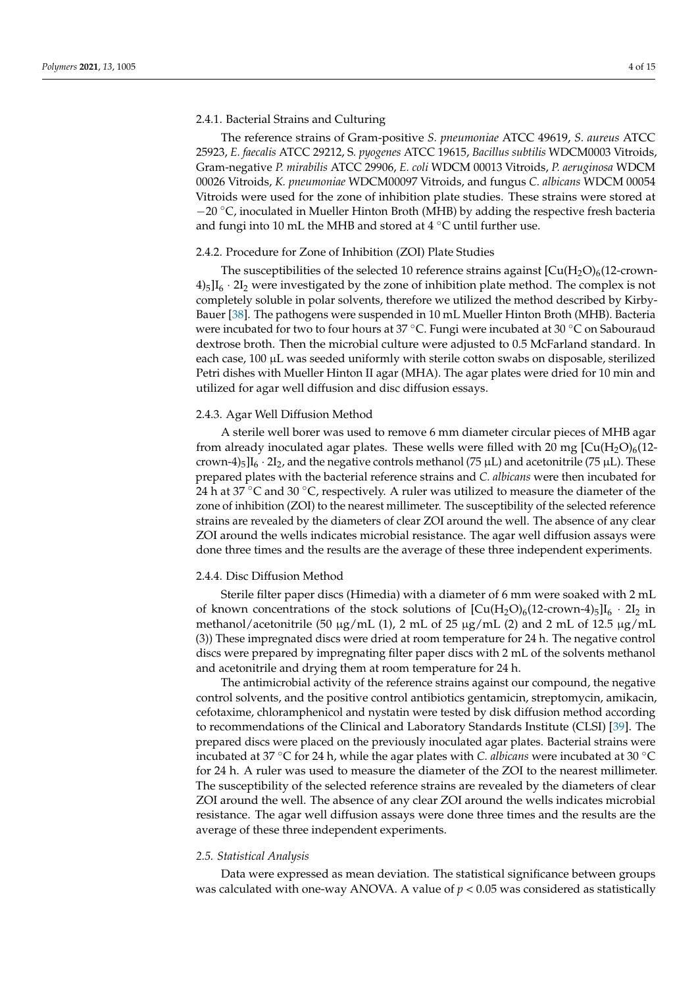## 2.4.1. Bacterial Strains and Culturing

The reference strains of Gram-positive *S. pneumoniae* ATCC 49619, *S. aureus* ATCC 25923, *E. faecalis* ATCC 29212, S*. pyogenes* ATCC 19615, *Bacillus subtilis* WDCM0003 Vitroids, Gram-negative *P. mirabilis* ATCC 29906, *E. coli* WDCM 00013 Vitroids, *P. aeruginosa* WDCM 00026 Vitroids, *K. pneumoniae* WDCM00097 Vitroids, and fungus *C. albicans* WDCM 00054 Vitroids were used for the zone of inhibition plate studies. These strains were stored at  $-20$  °C, inoculated in Mueller Hinton Broth (MHB) by adding the respective fresh bacteria and fungi into 10 mL the MHB and stored at 4  $\degree$ C until further use.

# 2.4.2. Procedure for Zone of Inhibition (ZOI) Plate Studies

The susceptibilities of the selected 10 reference strains against  $\left[\text{Cu}(\text{H}_2\text{O})_6(12\text{-}c\text{rown-}1)\right]$  $4\frac{1}{5}$ I<sub>6</sub> · 2I<sub>2</sub> were investigated by the zone of inhibition plate method. The complex is not completely soluble in polar solvents, therefore we utilized the method described by Kirby-Bauer [38]. The pathogens were suspended in 10 mL Mueller Hinton Broth (MHB). Bacteria were incubated for two to four hours at 37 °C. Fungi were incubated at 30 °C on Sabouraud dextrose broth. Then the microbial culture were adjusted to 0.5 McFarland standard. In each case,  $100 \mu L$  was seeded uniformly with sterile cotton swabs on disposable, sterilized Petri dishes with Mueller Hinton II agar (MHA). The agar plates were dried for 10 min and utilized for agar well diffusion and disc diffusion essays.

## 2.4.3. Agar Well Diffusion Method

A sterile well borer was used to remove 6 mm diameter circular pieces of MHB agar from already inoculated agar plates. These wells were filled with 20 mg  $\left[\text{Cu}(H_2\text{O})_6(12\text{--}1)\right]$ crown-4)<sub>5</sub>]I<sub>6</sub> · 2I<sub>2</sub>, and the negative controls methanol (75  $\mu$ L) and acetonitrile (75  $\mu$ L). These prepared plates with the bacterial reference strains and *C. albicans* were then incubated for 24 h at 37  $\degree$ C and 30  $\degree$ C, respectively. A ruler was utilized to measure the diameter of the zone of inhibition (ZOI) to the nearest millimeter. The susceptibility of the selected reference strains are revealed by the diameters of clear ZOI around the well. The absence of any clear ZOI around the wells indicates microbial resistance. The agar well diffusion assays were done three times and the results are the average of these three independent experiments.

#### 2.4.4. Disc Diffusion Method

Sterile filter paper discs (Himedia) with a diameter of 6 mm were soaked with 2 mL of known concentrations of the stock solutions of  $\left[\text{Cu}(H_2O)_6(12\text{-}crown-4)_5\right]I_6 \cdot 2I_2$  in methanol/acetonitrile (50  $\mu$ g/mL (1), 2 mL of 25  $\mu$ g/mL (2) and 2 mL of 12.5  $\mu$ g/mL (3)) These impregnated discs were dried at room temperature for 24 h. The negative control discs were prepared by impregnating filter paper discs with 2 mL of the solvents methanol and acetonitrile and drying them at room temperature for 24 h.

The antimicrobial activity of the reference strains against our compound, the negative control solvents, and the positive control antibiotics gentamicin, streptomycin, amikacin, cefotaxime, chloramphenicol and nystatin were tested by disk diffusion method according to recommendations of the Clinical and Laboratory Standards Institute (CLSI) [39]. The prepared discs were placed on the previously inoculated agar plates. Bacterial strains were incubated at 37 ◦C for 24 h, while the agar plates with *C. albicans* were incubated at 30 ◦C for 24 h. A ruler was used to measure the diameter of the ZOI to the nearest millimeter. The susceptibility of the selected reference strains are revealed by the diameters of clear ZOI around the well. The absence of any clear ZOI around the wells indicates microbial resistance. The agar well diffusion assays were done three times and the results are the average of these three independent experiments.

#### *2.5. Statistical Analysis*

Data were expressed as mean deviation. The statistical significance between groups was calculated with one-way ANOVA. A value of *p* < 0.05 was considered as statistically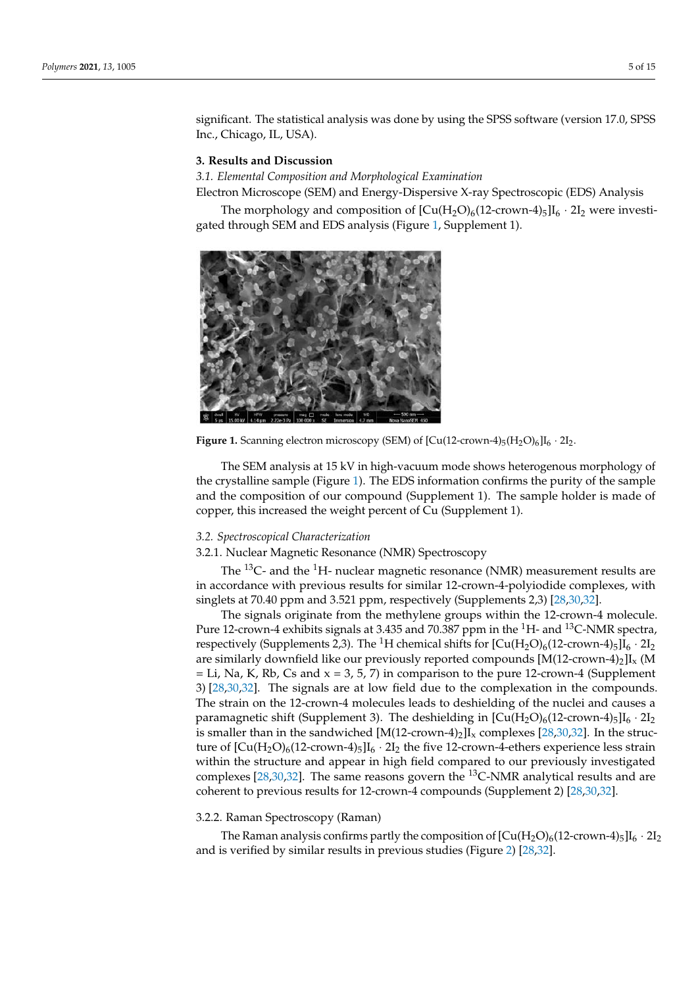significant. The statistical analysis was done by using the SPSS software (version 17.0, SPSS Inc., Chicago, IL, USA).

## **3. Results and Discussion**

*3.1. Elemental Composition and Morphological Examination*

Electron Microscope (SEM) and Energy-Dispersive X-ray Spectroscopic (EDS) Analysis

The morphology and composition of  $[Cu(H_2O)_6(12\text{-}crown-4)_5]I_6 \cdot 2I_2$  were investigated through SEM and EDS analysis (Figure 1, Supplement 1).



**Figure 1.** Scanning electron microscopy (SEM) of  $\text{[Cu(12-crown-4)}_5(\text{H}_2\text{O})_6\text{]}I_6 \cdot 2I_2$ .

The SEM analysis at 15 kV in high-vacuum mode shows heterogenous morphology of the crystalline sample (Figure 1). The EDS information confirms the purity of the sample and the composition of our compound (Supplement 1). The sample holder is made of copper, this increased the weight percent of Cu (Supplement 1).

#### *3.2. Spectroscopical Characterization*

3.2.1. Nuclear Magnetic Resonance (NMR) Spectroscopy

The  $^{13}$ C- and the  $^{1}$ H- nuclear magnetic resonance (NMR) measurement results are in accordance with previous results for similar 12-crown-4-polyiodide complexes, with singlets at 70.40 ppm and 3.521 ppm, respectively (Supplements 2,3) [28,30,32].

The signals originate from the methylene groups within the 12-crown-4 molecule. Pure 12-crown-4 exhibits signals at 3.435 and 70.387 ppm in the <sup>1</sup>H- and <sup>13</sup>C-NMR spectra, respectively (Supplements 2,3). The <sup>1</sup>H chemical shifts for  $\left[\text{Cu}(H_2\text{O})_6(12\text{-}{\text{crown}}-4)_5\right]I_6 \cdot 2I_2$ are similarly downfield like our previously reported compounds  $[M(12-crown-4)<sub>2</sub>]$ I<sub>x</sub> (M  $=$  Li, Na, K, Rb, Cs and  $x = 3, 5, 7$ ) in comparison to the pure 12-crown-4 (Supplement 3) [28,30,32]. The signals are at low field due to the complexation in the compounds. The strain on the 12-crown-4 molecules leads to deshielding of the nuclei and causes a paramagnetic shift (Supplement 3). The deshielding in  $\left[\text{Cu}(H_2O)_6(12\text{-}crown-4)_{5}\right]I_6 \cdot 2I_2$ is smaller than in the sandwiched  $[M(12\text{-}crown-4)_2]I_x$  complexes  $[28,30,32]$ . In the structure of  $[Cu(H_2O)_6(12\text{-}crown-4)_5]I_6 \cdot 2I_2$  the five 12-crown-4-ethers experience less strain within the structure and appear in high field compared to our previously investigated complexes [28,30,32]. The same reasons govern the  $^{13}$ C-NMR analytical results and are coherent to previous results for 12-crown-4 compounds (Supplement 2) [28,30,32].

#### 3.2.2. Raman Spectroscopy (Raman)

The Raman analysis confirms partly the composition of  $\left[\text{Cu}(\text{H}_2\text{O})_6(12\text{-}{\text{crown-4}})_5\right]\text{I}_6 \cdot 2\text{I}_2$ and is verified by similar results in previous studies (Figure 2) [28,32].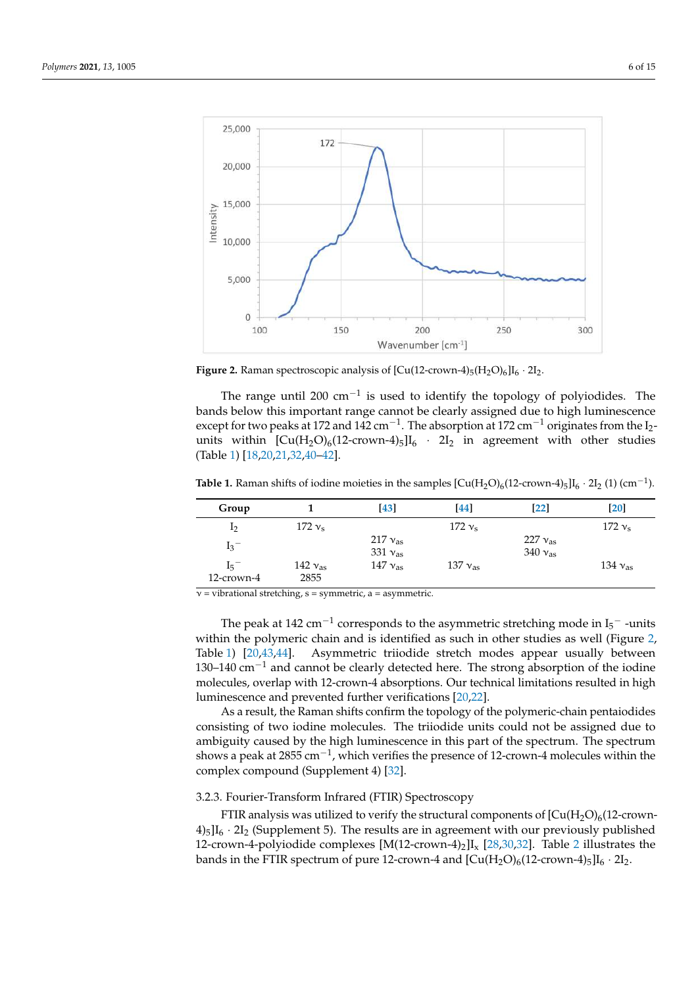

**Figure 2.** Raman spectroscopic analysis of  $\left[Cu(12\text{-}crown-4)_{5}(H_{2}O)_{6}\right]I_{6} \cdot 2I_{2}$ .

The range until 200  $cm^{-1}$  is used to identify the topology of polyiodides. The bands below this important range cannot be clearly assigned due to high luminescence except for two peaks at 172 and 142 cm<sup>-1</sup>. The absorption at 172 cm<sup>-1</sup> originates from the I<sub>2</sub>units within  $\text{[Cu(H<sub>2</sub>O)<sub>6</sub>(12-crown-4)<sub>5</sub>]}$   $I_6$  · 2I<sub>2</sub> in agreement with other studies (Table 1) [18,20,21,32,40–42].

**Table 1.** Raman shifts of iodine moieties in the samples  $[Cu(H<sub>2</sub>O)<sub>6</sub>(12-crown-4)<sub>5</sub>]I<sub>6</sub> · 2I<sub>2</sub> (1) (cm<sup>-1</sup>).$ 

| Group          |                  | [43]                             | [44]             | $\left[ 22\right]$                   | $\lceil 20 \rceil$ |
|----------------|------------------|----------------------------------|------------------|--------------------------------------|--------------------|
| 1 <sub>2</sub> | $172v_{\rm s}$   |                                  | $172v_s$         |                                      | $172v_s$           |
| $I_3^-$        |                  | 217 $v_{as}$<br>331 $v_{\rm as}$ |                  | 227 $v_{\rm as}$<br>340 $v_{\rm as}$ |                    |
| $I_5^-$        | 142 $v_{\rm as}$ | 147 $v_{as}$                     | 137 $v_{\rm as}$ |                                      | 134 $v_{\rm as}$   |
| 12-crown-4     | 2855             |                                  |                  |                                      |                    |

 $v = vibrational stretching, s = symmetric, a = asymmetric.$ 

The peak at 142  $\rm cm^{-1}$  corresponds to the asymmetric stretching mode in I $\rm _5^-$  -units within the polymeric chain and is identified as such in other studies as well (Figure 2, Table 1) [20,43,44]. Asymmetric triiodide stretch modes appear usually between 130–140 cm−<sup>1</sup> and cannot be clearly detected here. The strong absorption of the iodine molecules, overlap with 12-crown-4 absorptions. Our technical limitations resulted in high luminescence and prevented further verifications [20,22].

As a result, the Raman shifts confirm the topology of the polymeric-chain pentaiodides consisting of two iodine molecules. The triiodide units could not be assigned due to ambiguity caused by the high luminescence in this part of the spectrum. The spectrum shows a peak at 2855 cm<sup>-1</sup>, which verifies the presence of 12-crown-4 molecules within the complex compound (Supplement 4) [32].

## 3.2.3. Fourier-Transform Infrared (FTIR) Spectroscopy

FTIR analysis was utilized to verify the structural components of  $[Cu(H<sub>2</sub>O)<sub>6</sub>(12-crown-1]$  $4\frac{1}{5}$ I<sub>6</sub> · 2I<sub>2</sub> (Supplement 5). The results are in agreement with our previously published 12-crown-4-polyiodide complexes  $[M(12\text{-}crown-4)_2]I_x$  [28,30,32]. Table 2 illustrates the bands in the FTIR spectrum of pure 12-crown-4 and  $\left[\text{Cu}(\text{H}_2\text{O})_6(12\text{-}{\text{crown-4}})_5\right]I_6 \cdot 2I_2$ .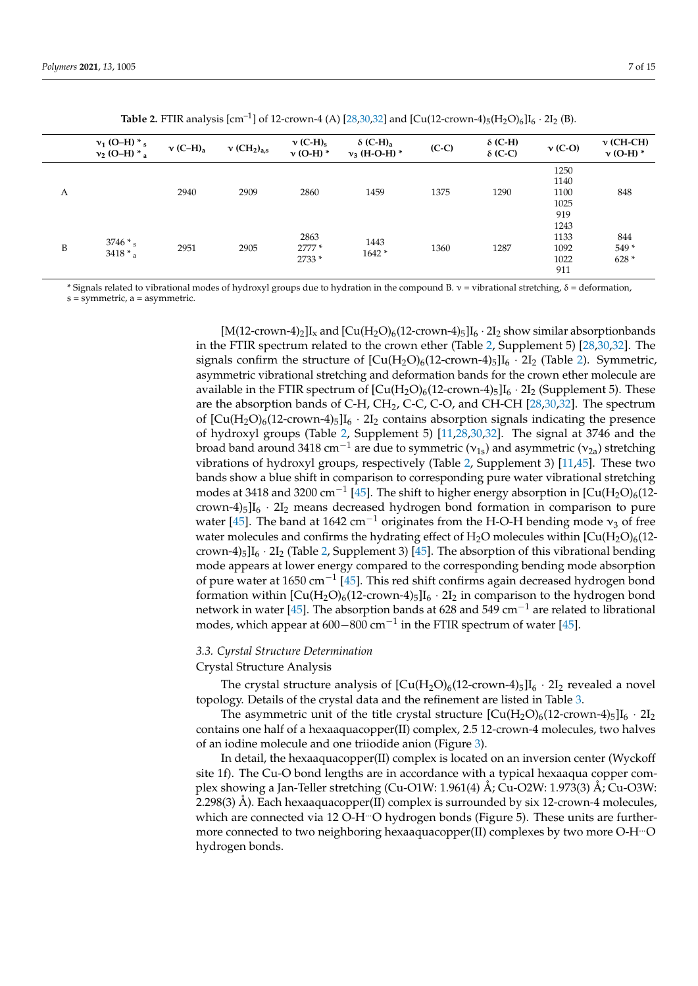|   | $v_1$ (O-H) $*$ <sub>s</sub><br>$v_2$ (O-H) $*$ <sub>a</sub> | $v$ (C-H) <sub>a</sub> | $\nu$ (CH <sub>2</sub> ) <sub>a,s</sub> | $v$ (C-H) <sub>s</sub><br>$v$ (O-H) $*$ | $\delta$ (C-H) <sub>a</sub><br>$v_3$ (H-O-H) $*$ | $(C-C)$ | $\delta$ (C-H)<br>$\delta$ (C-C) | $\nu$ (C-O)         | $\nu$ (CH-CH)<br>$\nu$ (O-H) $*$ |
|---|--------------------------------------------------------------|------------------------|-----------------------------------------|-----------------------------------------|--------------------------------------------------|---------|----------------------------------|---------------------|----------------------------------|
|   |                                                              |                        |                                         |                                         |                                                  |         |                                  | 1250<br>1140        |                                  |
| А |                                                              | 2940                   | 2909                                    | 2860                                    | 1459                                             | 1375    | 1290                             | 1100<br>1025<br>919 | 848                              |
| B | $3746*$<br>$3418$ * a                                        | 2951<br>2905           | 2863<br>$2777*$<br>2733 *               | 1443<br>$1642*$                         |                                                  |         | 1243<br>1133                     | 844                 |                                  |
|   |                                                              |                        |                                         |                                         | 1360                                             | 1287    | 1092<br>1022<br>911              | 549*<br>$628*$      |                                  |

**Table 2.** FTIR analysis  $[\text{cm}^{-1}]$  of 12-crown-4 (A)  $[28,30,32]$  and  $[Cu(12\text{-}crown\text{-}4)_5(H_2O)_6]I_6 \cdot 2I_2$  (B).

\* Signals related to vibrational modes of hydroxyl groups due to hydration in the compound B.  $v =$  vibrational stretching,  $\delta =$  deformation,  $s =$ symmetric,  $a =$  asymmetric.

> $[M(12-crown-4)<sub>2</sub>]I<sub>x</sub>$  and  $[Cu(H<sub>2</sub>O)<sub>6</sub>(12-crown-4)<sub>5</sub>]*I<sub>6</sub> \cdot 2I<sub>2</sub>*$  show similar absorptionbands in the FTIR spectrum related to the crown ether (Table 2, Supplement 5) [28,30,32]. The signals confirm the structure of  $\left[\text{Cu}(H_2\text{O})_6(12\text{-}{\text{crown-4}})_5\right]I_6 \cdot 2I_2$  (Table 2). Symmetric, asymmetric vibrational stretching and deformation bands for the crown ether molecule are available in the FTIR spectrum of  $[Cu(H<sub>2</sub>O)<sub>6</sub>(12-crown-4)<sub>5</sub>]$ <sub>6</sub> · 2I<sub>2</sub> (Supplement 5). These are the absorption bands of C-H,  $CH_2$ , C-C, C-O, and CH-CH  $[28,30,32]$ . The spectrum of  $\left[\text{Cu}(H_2O)_6(12\text{-}crown-4)_5\right]I_6 \cdot 2I_2$  contains absorption signals indicating the presence of hydroxyl groups (Table 2, Supplement 5) [11,28,30,32]. The signal at 3746 and the broad band around 3418 cm<sup>-1</sup> are due to symmetric ( $v_{1s}$ ) and asymmetric ( $v_{2a}$ ) stretching vibrations of hydroxyl groups, respectively (Table 2, Supplement 3) [11,45]. These two bands show a blue shift in comparison to corresponding pure water vibrational stretching modes at 3418 and 3200 cm<sup>-1</sup> [45]. The shift to higher energy absorption in [Cu(H<sub>2</sub>O)<sub>6</sub>(12crown-4) $_5$ I<sub>6</sub> · 2I<sub>2</sub> means decreased hydrogen bond formation in comparison to pure water [45]. The band at 1642 cm<sup>-1</sup> originates from the H-O-H bending mode  $v_3$  of free water molecules and confirms the hydrating effect of  $H_2O$  molecules within  $[Cu(H_2O)_6(12$ crown-4)<sub>5</sub>]I<sub>6</sub> · 2I<sub>2</sub> (Table 2, Supplement 3) [45]. The absorption of this vibrational bending mode appears at lower energy compared to the corresponding bending mode absorption of pure water at 1650 cm−<sup>1</sup> [45]. This red shift confirms again decreased hydrogen bond formation within  $[Cu(H_2O)_6(12\text{-}crown-4)_5]I_6 \cdot 2I_2$  in comparison to the hydrogen bond network in water [45]. The absorption bands at 628 and 549 cm<sup>-1</sup> are related to librational modes, which appear at 600–800  $\text{cm}^{-1}$  in the FTIR spectrum of water [45].

# *3.3. Cyrstal Structure Determination*

#### Crystal Structure Analysis

The crystal structure analysis of  $\left[\text{Cu}(H_2O)_6(12\text{-}crown-4)_5\right]I_6 \cdot 2I_2$  revealed a novel topology. Details of the crystal data and the refinement are listed in Table 3.

The asymmetric unit of the title crystal structure  $\left[\text{Cu}(H_2O)_6(12\text{-}crown-4)_5\right]I_6 \cdot 2I_2$ contains one half of a hexaaquacopper(II) complex, 2.5 12-crown-4 molecules, two halves of an iodine molecule and one triiodide anion (Figure 3).

In detail, the hexaaquacopper(II) complex is located on an inversion center (Wyckoff site 1f). The Cu-O bond lengths are in accordance with a typical hexaaqua copper complex showing a Jan-Teller stretching (Cu-O1W: 1.961(4) Å; Cu-O2W: 1.973(3) Å; Cu-O3W: 2.298(3) Å). Each hexaaquacopper(II) complex is surrounded by six 12-crown-4 molecules, which are connected via 12 O-H $\cdot$ O hydrogen bonds (Figure 5). These units are furthermore connected to two neighboring hexaaquacopper(II) complexes by two more O-H<sup>---</sup>O hydrogen bonds.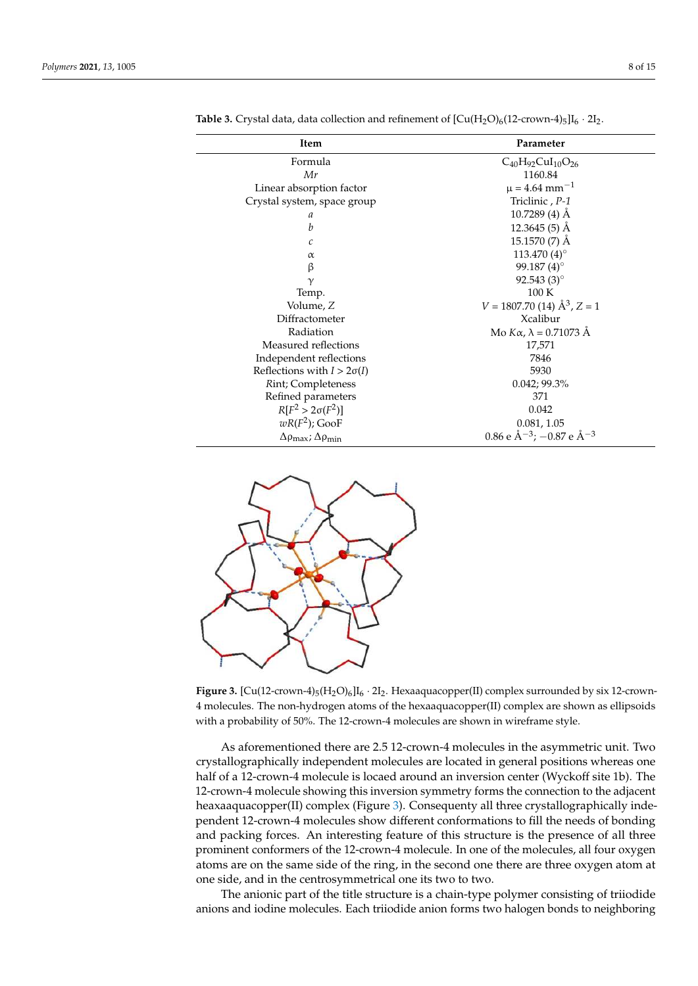| Item                                                    | Parameter                                      |  |  |  |
|---------------------------------------------------------|------------------------------------------------|--|--|--|
| Formula                                                 | $C_{40}H_{92}CuI_{10}O_{26}$                   |  |  |  |
| Mr                                                      | 1160.84                                        |  |  |  |
| Linear absorption factor                                | $\mu = 4.64$ mm <sup>-1</sup>                  |  |  |  |
| Crystal system, space group                             | Triclinic, P-1                                 |  |  |  |
| a                                                       | $10.7289(4)$ Å                                 |  |  |  |
| b                                                       | $12.3645(5)$ Å                                 |  |  |  |
| $\mathcal{C}$                                           | 15.1570 (7) Å                                  |  |  |  |
| $\alpha$                                                | 113.470 (4)°                                   |  |  |  |
| β                                                       | 99.187 $(4)$ °                                 |  |  |  |
| $\gamma$                                                | 92.543 $(3)$ °                                 |  |  |  |
| Temp.                                                   | 100K                                           |  |  |  |
| Volume, Z                                               | $V = 1807.70$ (14) $\AA^3$ , Z = 1             |  |  |  |
| Diffractometer                                          | Xcalibur                                       |  |  |  |
| Radiation                                               | Mo $K\alpha$ , $\lambda = 0.71073$ Å           |  |  |  |
| Measured reflections                                    | 17,571                                         |  |  |  |
| Independent reflections                                 | 7846                                           |  |  |  |
| Reflections with $I > 2\sigma(I)$                       | 5930                                           |  |  |  |
| Rint; Completeness                                      | 0.042; 99.3%                                   |  |  |  |
| Refined parameters                                      | 371                                            |  |  |  |
| $R[F^{2} > 2\sigma(F^{2})]$                             | 0.042                                          |  |  |  |
| $wR(F^2)$ ; GooF                                        | 0.081, 1.05                                    |  |  |  |
| $\Delta \rho_{\text{max}}$ ; $\Delta \rho_{\text{min}}$ | 0.86 e $\rm \AA^{-3}$ ; -0.87 e $\rm \AA^{-3}$ |  |  |  |

**Table 3.** Crystal data, data collection and refinement of  $\text{[Cu(H<sub>2</sub>O)<sub>6</sub>(12-crown-4)<sub>5</sub>] $I_6 \cdot 2I_2$ .$ 



**Figure 3.** [Cu(12-crown-4)<sub>5</sub>(H<sub>2</sub>O)<sub>6</sub>]I<sub>6</sub> · 2I<sub>2</sub>. Hexaaquacopper(II) complex surrounded by six 12-crown-4 molecules. The non-hydrogen atoms of the hexaaquacopper(II) complex are shown as ellipsoids with a probability of 50%. The 12-crown-4 molecules are shown in wireframe style.

As aforementioned there are 2.5 12-crown-4 molecules in the asymmetric unit. Two crystallographically independent molecules are located in general positions whereas one half of a 12-crown-4 molecule is locaed around an inversion center (Wyckoff site 1b). The 12-crown-4 molecule showing this inversion symmetry forms the connection to the adjacent heaxaaquacopper(II) complex (Figure 3). Consequenty all three crystallographically independent 12-crown-4 molecules show different conformations to fill the needs of bonding and packing forces. An interesting feature of this structure is the presence of all three prominent conformers of the 12-crown-4 molecule. In one of the molecules, all four oxygen atoms are on the same side of the ring, in the second one there are three oxygen atom at one side, and in the centrosymmetrical one its two to two.

The anionic part of the title structure is a chain-type polymer consisting of triiodide anions and iodine molecules. Each triiodide anion forms two halogen bonds to neighboring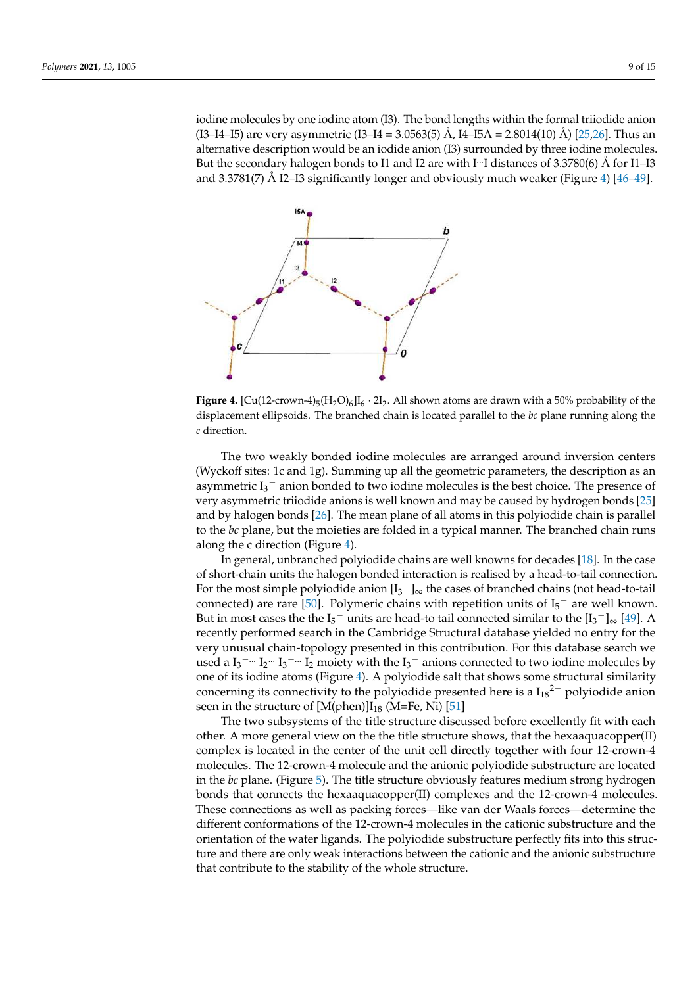iodine molecules by one iodine atom (I3). The bond lengths within the formal triiodide anion (I3–I4–I5) are very asymmetric (I3–I4 = 3.0563(5) Å, I4–I5A = 2.8014(10) Å) [25,26]. Thus an alternative description would be an iodide anion (I3) surrounded by three iodine molecules. But the secondary halogen bonds to I1 and I2 are with I<sup>-1</sup>I distances of  $3.3780(6)$  Å for I1–I3 and 3.3781(7) Å I2–I3 significantly longer and obviously much weaker (Figure 4) [46–49].



**Figure 4.** [Cu(12-crown-4)<sub>5</sub>(H<sub>2</sub>O)<sub>6</sub>]I<sub>6</sub> · 2I<sub>2</sub>. All shown atoms are drawn with a 50% probability of the displacement ellipsoids. The branched chain is located parallel to the *bc* plane running along the *c* direction.

The two weakly bonded iodine molecules are arranged around inversion centers (Wyckoff sites: 1c and 1g). Summing up all the geometric parameters, the description as an asymmetric  $I_3^-$  anion bonded to two iodine molecules is the best choice. The presence of very asymmetric triiodide anions is well known and may be caused by hydrogen bonds [25] and by halogen bonds [26]. The mean plane of all atoms in this polyiodide chain is parallel to the *bc* plane, but the moieties are folded in a typical manner. The branched chain runs along the c direction (Figure 4).

In general, unbranched polyiodide chains are well knowns for decades [18]. In the case of short-chain units the halogen bonded interaction is realised by a head-to-tail connection. For the most simple polyiodide anion  $[I_3^-]_{\infty}$  the cases of branched chains (not head-to-tail connected) are rare [50]. Polymeric chains with repetition units of  $I_5^-$  are well known. But in most cases the the  $I_5^-$  units are head-to tail connected similar to the  $[I_3^-]_{\infty}$  [49]. A recently performed search in the Cambridge Structural database yielded no entry for the very unusual chain-topology presented in this contribution. For this database search we used a  $I_3$ <sup>-...</sup> I<sub>2</sub><sup>-...</sup> I<sub>2</sub><sup>-...</sup> I<sub>2</sub><sup>-</sup> moiety with the I<sub>3</sub><sup>-</sup> anions connected to two iodine molecules by one of its iodine atoms (Figure 4). A polyiodide salt that shows some structural similarity concerning its connectivity to the polyiodide presented here is a  $I_{18}^2$  polyiodide anion seen in the structure of  $[M(phen)]I_{18}$  (M=Fe, Ni) [51]

The two subsystems of the title structure discussed before excellently fit with each other. A more general view on the the title structure shows, that the hexaaquacopper(II) complex is located in the center of the unit cell directly together with four 12-crown-4 molecules. The 12-crown-4 molecule and the anionic polyiodide substructure are located in the *bc* plane. (Figure 5). The title structure obviously features medium strong hydrogen bonds that connects the hexaaquacopper(II) complexes and the 12-crown-4 molecules. These connections as well as packing forces—like van der Waals forces—determine the different conformations of the 12-crown-4 molecules in the cationic substructure and the orientation of the water ligands. The polyiodide substructure perfectly fits into this structure and there are only weak interactions between the cationic and the anionic substructure that contribute to the stability of the whole structure.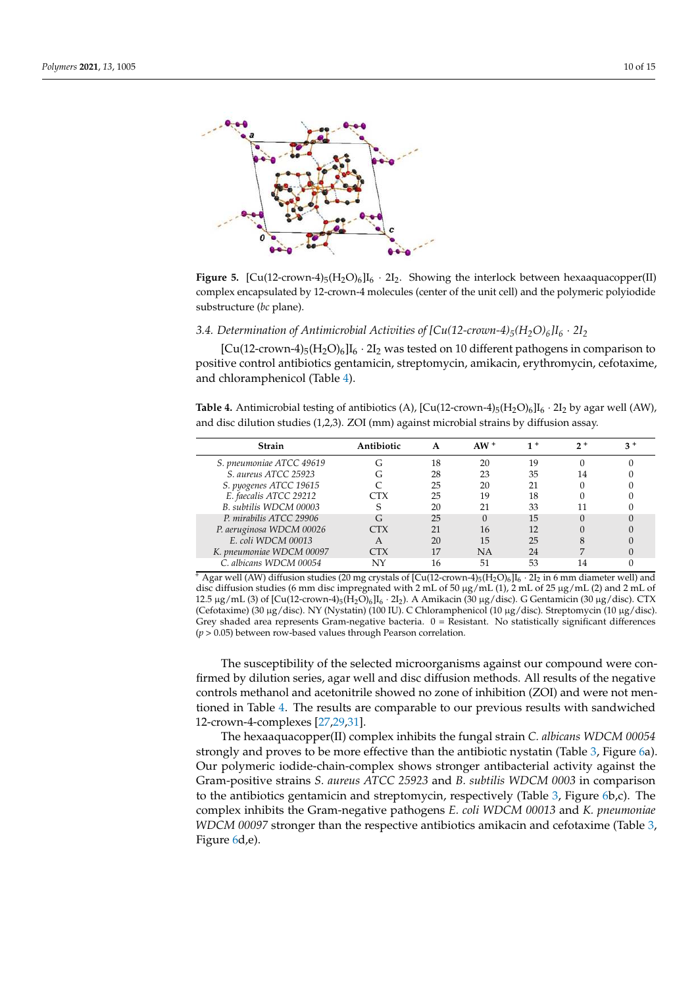

**Figure 5.** [Cu(12-crown-4)<sub>5</sub>(H<sub>2</sub>O)<sub>6</sub>]I<sub>6</sub> · 2I<sub>2</sub>. Showing the interlock between hexaaquacopper(II) complex encapsulated by 12-crown-4 molecules (center of the unit cell) and the polymeric polyiodide substructure (*bc* plane).

*3.4. Determination of Antimicrobial Activities of [Cu(12-crown-4)5(H2O)6]I<sup>6</sup>* · *2I<sup>2</sup>*

 $[Cu(12-crown-4)<sub>5</sub>(H<sub>2</sub>O)<sub>6</sub>]*I*<sub>6</sub> · 2*I*<sub>2</sub> was tested on 10 different pathogens in comparison to$ positive control antibiotics gentamicin, streptomycin, amikacin, erythromycin, cefotaxime, and chloramphenicol (Table 4).

**Table 4.** Antimicrobial testing of antibiotics (A),  $[Cu(12$ -crown- $4)_5(H_2O)_6]I_6 \cdot 2I_2$  by agar well (AW), and disc dilution studies (1,2,3). ZOI (mm) against microbial strains by diffusion assay.

| <b>Strain</b>            | Antibiotic     |    | $AW^+$ |              | n + |  |
|--------------------------|----------------|----|--------|--------------|-----|--|
| S. pneumoniae ATCC 49619 |                | 18 | 20     | 19           |     |  |
| S. aureus ATCC 25923     |                | 28 | 23     | 35           |     |  |
| S. pyogenes ATCC 19615   |                | 25 | 20     |              |     |  |
| E. faecalis ATCC 29212   | $\mathbb{T} X$ | 25 | 19     | 18           |     |  |
| B. subtilis WDCM 00003   |                | 20 |        | 33           |     |  |
| P. mirabilis ATCC 29906  |                | 25 |        | 15           |     |  |
| P. aeruginosa WDCM 00026 | . TX           |    | 16     | $12^{\circ}$ |     |  |
| E. coli WDCM 00013       |                | 20 | 15     | 25           |     |  |
| K. pneumoniae WDCM 00097 | ~TX            |    | NA     | 24           |     |  |
| C. albicans WDCM 00054   | NIV            | 6  | 51     | 53           |     |  |

 $+$  Agar well (AW) diffusion studies (20 mg crystals of [Cu(12-crown-4)<sub>5</sub>(H<sub>2</sub>O)<sub>6</sub>]I<sub>6</sub> · 2I<sub>2</sub> in 6 mm diameter well) and disc diffusion studies (6 mm disc impregnated with 2 mL of 50  $\mu$ g/mL (1), 2 mL of 25  $\mu$ g/mL (2) and 2 mL of 12.5 µg/mL (3) of  $\left[\text{Cu}(12\text{-crown-4})_5(\text{H}_2\text{O})_6\right]\text{I}_6 \cdot 2\text{I}_2$ ). A Amikacin (30 µg/disc). G Gentamicin (30 µg/disc). CTX (Cefotaxime) (30 µg/disc). NY (Nystatin) (100 IU). C Chloramphenicol (10 µg/disc). Streptomycin (10 µg/disc). Grey shaded area represents Gram-negative bacteria. 0 = Resistant. No statistically significant differences (*p* > 0.05) between row-based values through Pearson correlation.

The susceptibility of the selected microorganisms against our compound were confirmed by dilution series, agar well and disc diffusion methods. All results of the negative controls methanol and acetonitrile showed no zone of inhibition (ZOI) and were not mentioned in Table 4. The results are comparable to our previous results with sandwiched 12-crown-4-complexes [27,29,31].

The hexaaquacopper(II) complex inhibits the fungal strain *C. albicans WDCM 00054* strongly and proves to be more effective than the antibiotic nystatin (Table 3, Figure 6a). Our polymeric iodide-chain-complex shows stronger antibacterial activity against the Gram-positive strains *S. aureus ATCC 25923* and *B. subtilis WDCM 0003* in comparison to the antibiotics gentamicin and streptomycin, respectively (Table 3, Figure 6b,c). The complex inhibits the Gram-negative pathogens *E. coli WDCM 00013* and *K. pneumoniae WDCM 00097* stronger than the respective antibiotics amikacin and cefotaxime (Table 3, Figure 6d,e).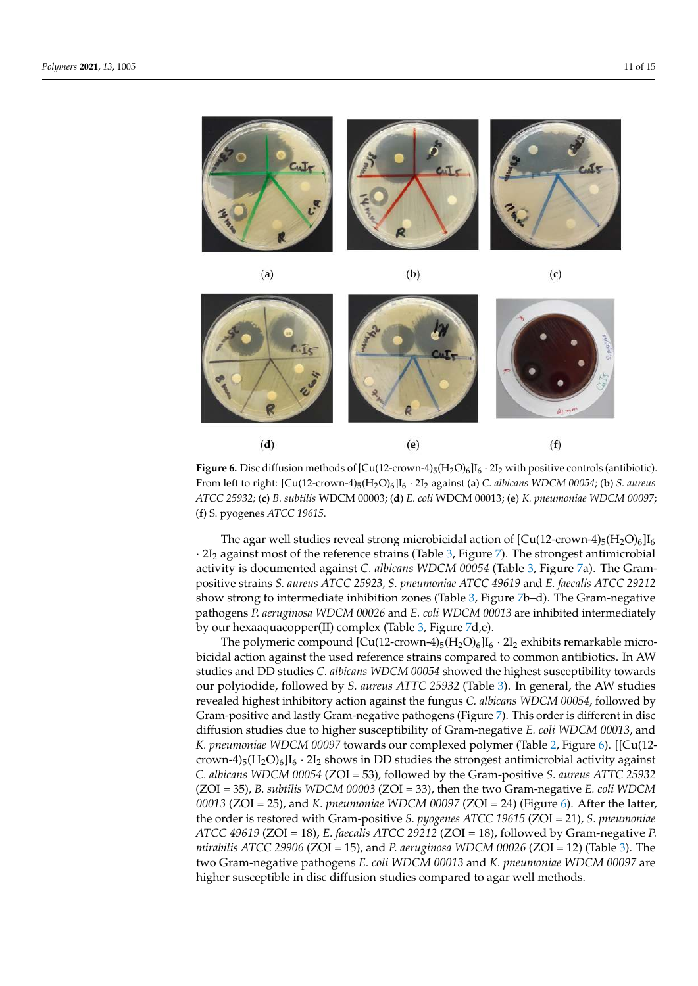

 $(a)$ 

 $(b)$ 

 $(c)$ 



**Figure 6.** Disc diffusion methods of  $\text{[Cu(12-crown-4)}_5(\text{H}_2\text{O})_6\text{]I}_6 \cdot 2\text{I}_2$  with positive controls (antibiotic). From left to right: [Cu(12-crown-4)<sup>5</sup> (H2O)<sup>6</sup> ]I6 · 2I<sup>2</sup> against (**a**) *C. albicans WDCM 00054*; (**b**) *S. aureus ATCC 25932;* (**c**) *B. subtilis* WDCM 00003; (**d**) *E. coli* WDCM 00013; (**e**) *K. pneumoniae WDCM 00097*; (**f**) S. pyogenes *ATCC 19615*.

The agar well studies reveal strong microbicidal action of  $[Cu(12-crown-4)<sub>5</sub>(H<sub>2</sub>O)<sub>6</sub>] $I_6$$  $\cdot$  2I<sub>2</sub> against most of the reference strains (Table 3, Figure 7). The strongest antimicrobial activity is documented against *C. albicans WDCM 00054* (Table 3, Figure 7a). The Grampositive strains *S. aureus ATCC 25923*, *S. pneumoniae ATCC 49619* and *E. faecalis ATCC 29212* show strong to intermediate inhibition zones (Table 3, Figure 7b–d). The Gram-negative pathogens *P. aeruginosa WDCM 00026* and *E. coli WDCM 00013* are inhibited intermediately by our hexaaquacopper(II) complex (Table 3, Figure 7d,e).

The polymeric compound  $\left[\text{Cu}(12\text{-}{\text{crown-4}})_{5}(\text{H}_{2}\text{O})_{6}\right]\text{I}_{6}\cdot2\text{I}_{2}$  exhibits remarkable microbicidal action against the used reference strains compared to common antibiotics. In AW studies and DD studies *C. albicans WDCM 00054* showed the highest susceptibility towards our polyiodide, followed by *S. aureus ATTC 25932* (Table 3). In general, the AW studies revealed highest inhibitory action against the fungus *C. albicans WDCM 00054*, followed by Gram-positive and lastly Gram-negative pathogens (Figure 7). This order is different in disc diffusion studies due to higher susceptibility of Gram-negative *E. coli WDCM 00013*, and *K. pneumoniae WDCM 00097* towards our complexed polymer (Table 2, Figure 6). [[Cu(12 crown-4)<sub>5</sub>(H<sub>2</sub>O)<sub>6</sub>]I<sub>6</sub> · 2I<sub>2</sub> shows in DD studies the strongest antimicrobial activity against *C. albicans WDCM 00054* (ZOI = 53)*,* followed by the Gram-positive *S. aureus ATTC 25932* (ZOI = 35), *B. subtilis WDCM 00003* (ZOI = 33), then the two Gram-negative *E. coli WDCM 00013* (ZOI = 25), and *K. pneumoniae WDCM 00097* (ZOI = 24) (Figure 6). After the latter, the order is restored with Gram-positive *S. pyogenes ATCC 19615* (ZOI = 21), *S. pneumoniae ATCC 49619* (ZOI = 18), *E. faecalis ATCC 29212* (ZOI = 18), followed by Gram-negative *P. mirabilis ATCC 29906* (ZOI = 15), and *P. aeruginosa WDCM 00026* (ZOI = 12) (Table 3). The two Gram-negative pathogens *E. coli WDCM 00013* and *K. pneumoniae WDCM 00097* are higher susceptible in disc diffusion studies compared to agar well methods.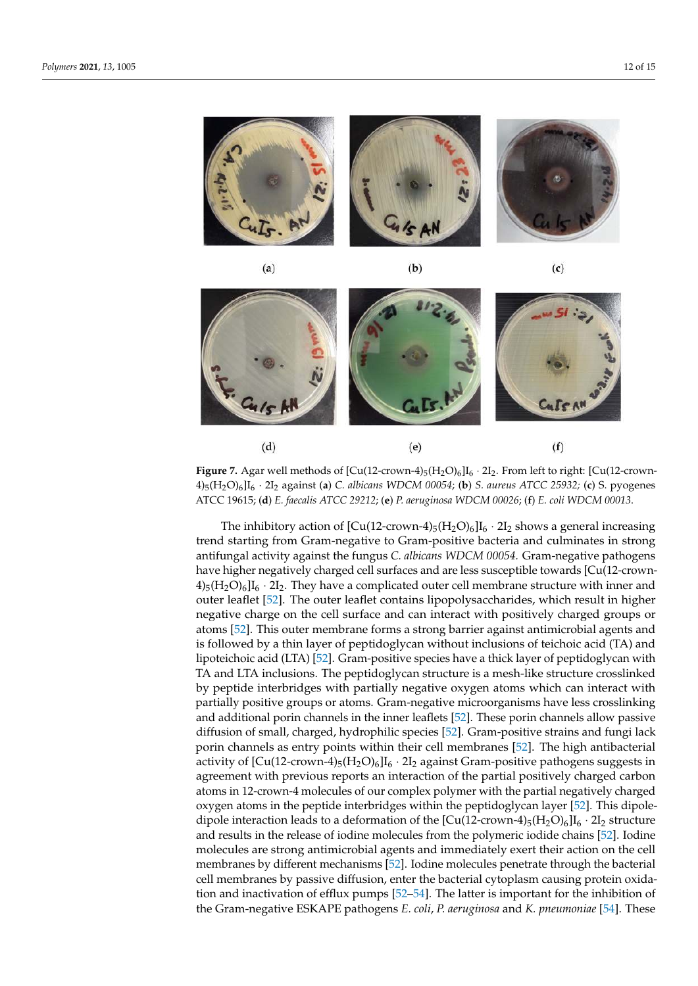

 $(a)$ 

 $(b)$ 





**Figure 7.** Agar well methods of  $\left[ Cu(12\text{-}crown\text{-}4)_{5}(H_{2}O)_{6}\right] I_{6} \cdot 2I_{2}$ . From left to right:  $\left[ Cu(12\text{-}crown\text{-}4)_{5}(H_{2}O)_{6}\right] I_{6} \cdot 2I_{2}$ . From left to right:  $\left[ Cu(12\text{-}crown\text{-}4)_{5}\right]$ 4)<sup>5</sup> (H2O)<sup>6</sup> ]I6 · 2I<sup>2</sup> against (**a**) *C. albicans WDCM 00054*; (**b**) *S. aureus ATCC 25932;* (**c**) S. pyogenes ATCC 19615; (**d**) *E. faecalis ATCC 29212*; (**e**) *P. aeruginosa WDCM 00026*; (**f**) *E. coli WDCM 00013*.

The inhibitory action of  $\left[\text{Cu}(12\text{-}\text{crown-4})_5(\text{H}_2\text{O})_6\right]\text{I}_6 \cdot 2\text{I}_2$  shows a general increasing trend starting from Gram-negative to Gram-positive bacteria and culminates in strong antifungal activity against the fungus *C. albicans WDCM 00054.* Gram-negative pathogens have higher negatively charged cell surfaces and are less susceptible towards [Cu(12-crown- $4$ <sub>5</sub>(H<sub>2</sub>O)<sub>6</sub>]I<sub>6</sub> · 2I<sub>2</sub>. They have a complicated outer cell membrane structure with inner and outer leaflet [52]. The outer leaflet contains lipopolysaccharides, which result in higher negative charge on the cell surface and can interact with positively charged groups or atoms [52]. This outer membrane forms a strong barrier against antimicrobial agents and is followed by a thin layer of peptidoglycan without inclusions of teichoic acid (TA) and lipoteichoic acid (LTA) [52]. Gram-positive species have a thick layer of peptidoglycan with TA and LTA inclusions. The peptidoglycan structure is a mesh-like structure crosslinked by peptide interbridges with partially negative oxygen atoms which can interact with partially positive groups or atoms. Gram-negative microorganisms have less crosslinking and additional porin channels in the inner leaflets [52]. These porin channels allow passive diffusion of small, charged, hydrophilic species [52]. Gram-positive strains and fungi lack porin channels as entry points within their cell membranes [52]. The high antibacterial activity of  $\left[\text{Cu}(12\text{-}\text{crown-}4)_{5}(\text{H}_{2}\text{O})_{6}\right]I_{6}$  · 2I<sub>2</sub> against Gram-positive pathogens suggests in agreement with previous reports an interaction of the partial positively charged carbon atoms in 12-crown-4 molecules of our complex polymer with the partial negatively charged oxygen atoms in the peptide interbridges within the peptidoglycan layer [52]. This dipoledipole interaction leads to a deformation of the  $\left[\text{Cu}(12\text{-}{\text{crown-}}4)_{5}(\text{H}_{2}\text{O})_{6}\right]I_{6} \cdot 2I_{2}$  structure and results in the release of iodine molecules from the polymeric iodide chains [52]. Iodine molecules are strong antimicrobial agents and immediately exert their action on the cell membranes by different mechanisms [52]. Iodine molecules penetrate through the bacterial cell membranes by passive diffusion, enter the bacterial cytoplasm causing protein oxidation and inactivation of efflux pumps [52–54]. The latter is important for the inhibition of the Gram-negative ESKAPE pathogens *E. coli*, *P. aeruginosa* and *K. pneumoniae* [54]. These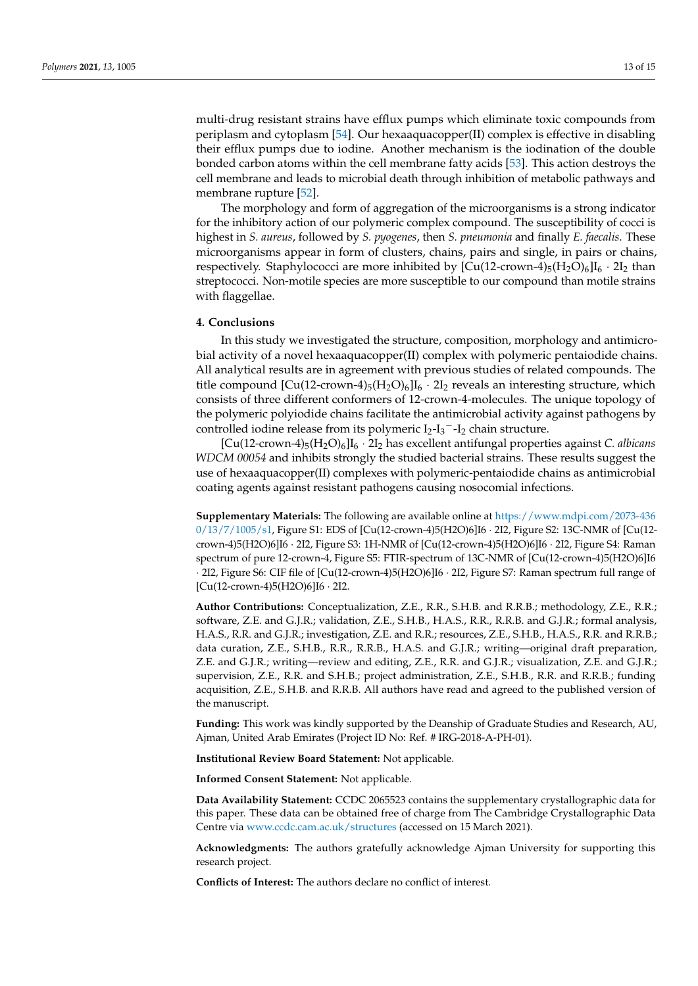multi-drug resistant strains have efflux pumps which eliminate toxic compounds from periplasm and cytoplasm [54]. Our hexaaquacopper(II) complex is effective in disabling their efflux pumps due to iodine. Another mechanism is the iodination of the double bonded carbon atoms within the cell membrane fatty acids [53]. This action destroys the cell membrane and leads to microbial death through inhibition of metabolic pathways and membrane rupture [52].

The morphology and form of aggregation of the microorganisms is a strong indicator for the inhibitory action of our polymeric complex compound. The susceptibility of cocci is highest in *S. aureus*, followed by *S. pyogenes*, then *S. pneumonia* and finally *E. faecalis*. These microorganisms appear in form of clusters, chains, pairs and single, in pairs or chains, respectively. Staphylococci are more inhibited by  $[Cu(12-crown-4)<sub>5</sub>(H<sub>2</sub>O)<sub>6</sub>]I<sub>6</sub> \cdot 2I<sub>2</sub>$  than streptococci. Non-motile species are more susceptible to our compound than motile strains with flaggellae.

#### **4. Conclusions**

In this study we investigated the structure, composition, morphology and antimicrobial activity of a novel hexaaquacopper(II) complex with polymeric pentaiodide chains. All analytical results are in agreement with previous studies of related compounds. The title compound  $\left[\text{Cu}(12\text{-crown-4})_5(\text{H}_2\text{O})_6\right]\text{I}_6 \cdot 2\text{I}_2$  reveals an interesting structure, which consists of three different conformers of 12-crown-4-molecules. The unique topology of the polymeric polyiodide chains facilitate the antimicrobial activity against pathogens by controlled iodine release from its polymeric  $I_2-I_3-I_2$  chain structure.

[Cu(12-crown-4)5(H2O)6]I<sup>6</sup> · 2I<sup>2</sup> has excellent antifungal properties against *C. albicans WDCM 00054* and inhibits strongly the studied bacterial strains. These results suggest the use of hexaaquacopper(II) complexes with polymeric-pentaiodide chains as antimicrobial coating agents against resistant pathogens causing nosocomial infections.

**Supplementary Materials:** The following are available online at https://www.mdpi.com/2073-436 0/13/7/1005/s1, Figure S1: EDS of [Cu(12-crown-4)5(H2O)6]I6 · 2I2, Figure S2: 13C-NMR of [Cu(12 crown-4)5(H2O)6]I6 · 2I2, Figure S3: 1H-NMR of [Cu(12-crown-4)5(H2O)6]I6 · 2I2, Figure S4: Raman spectrum of pure 12-crown-4, Figure S5: FTIR-spectrum of 13C-NMR of [Cu(12-crown-4)5(H2O)6]I6 · 2I2, Figure S6: CIF file of [Cu(12-crown-4)5(H2O)6]I6 · 2I2, Figure S7: Raman spectrum full range of [Cu(12-crown-4)5(H2O)6]I6 · 2I2.

**Author Contributions:** Conceptualization, Z.E., R.R., S.H.B. and R.R.B.; methodology, Z.E., R.R.; software, Z.E. and G.J.R.; validation, Z.E., S.H.B., H.A.S., R.R., R.R.B. and G.J.R.; formal analysis, H.A.S., R.R. and G.J.R.; investigation, Z.E. and R.R.; resources, Z.E., S.H.B., H.A.S., R.R. and R.R.B.; data curation, Z.E., S.H.B., R.R., R.R.B., H.A.S. and G.J.R.; writing—original draft preparation, Z.E. and G.J.R.; writing—review and editing, Z.E., R.R. and G.J.R.; visualization, Z.E. and G.J.R.; supervision, Z.E., R.R. and S.H.B.; project administration, Z.E., S.H.B., R.R. and R.R.B.; funding acquisition, Z.E., S.H.B. and R.R.B. All authors have read and agreed to the published version of the manuscript.

**Funding:** This work was kindly supported by the Deanship of Graduate Studies and Research, AU, Ajman, United Arab Emirates (Project ID No: Ref. # IRG-2018-A-PH-01).

**Institutional Review Board Statement:** Not applicable.

**Informed Consent Statement:** Not applicable.

**Data Availability Statement:** CCDC 2065523 contains the supplementary crystallographic data for this paper. These data can be obtained free of charge from The Cambridge Crystallographic Data Centre via www.ccdc.cam.ac.uk/structures (accessed on 15 March 2021).

**Acknowledgments:** The authors gratefully acknowledge Ajman University for supporting this research project.

**Conflicts of Interest:** The authors declare no conflict of interest.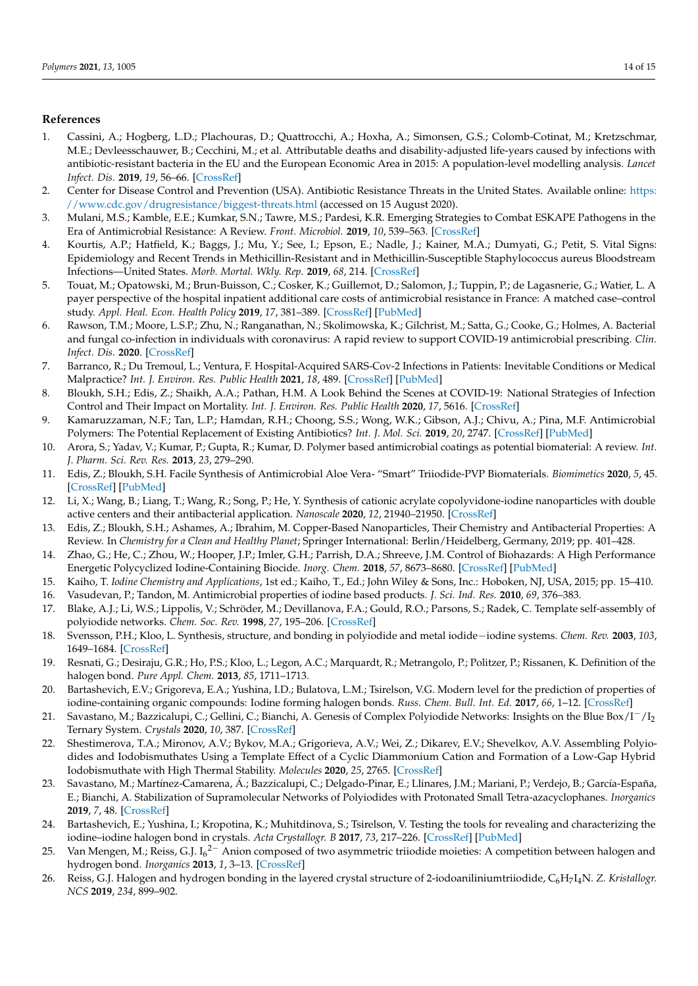## **References**

- 1. Cassini, A.; Hogberg, L.D.; Plachouras, D.; Quattrocchi, A.; Hoxha, A.; Simonsen, G.S.; Colomb-Cotinat, M.; Kretzschmar, M.E.; Devleesschauwer, B.; Cecchini, M.; et al. Attributable deaths and disability-adjusted life-years caused by infections with antibiotic-resistant bacteria in the EU and the European Economic Area in 2015: A population-level modelling analysis. *Lancet Infect. Dis.* **2019**, *19*, 56–66. [CrossRef]
- 2. Center for Disease Control and Prevention (USA). Antibiotic Resistance Threats in the United States. Available online: https: //www.cdc.gov/drugresistance/biggest-threats.html (accessed on 15 August 2020).
- 3. Mulani, M.S.; Kamble, E.E.; Kumkar, S.N.; Tawre, M.S.; Pardesi, K.R. Emerging Strategies to Combat ESKAPE Pathogens in the Era of Antimicrobial Resistance: A Review. *Front. Microbiol.* **2019**, *10*, 539–563. [CrossRef]
- 4. Kourtis, A.P.; Hatfield, K.; Baggs, J.; Mu, Y.; See, I.; Epson, E.; Nadle, J.; Kainer, M.A.; Dumyati, G.; Petit, S. Vital Signs: Epidemiology and Recent Trends in Methicillin-Resistant and in Methicillin-Susceptible Staphylococcus aureus Bloodstream Infections—United States. *Morb. Mortal. Wkly. Rep.* **2019**, *68*, 214. [CrossRef]
- 5. Touat, M.; Opatowski, M.; Brun-Buisson, C.; Cosker, K.; Guillemot, D.; Salomon, J.; Tuppin, P.; de Lagasnerie, G.; Watier, L. A payer perspective of the hospital inpatient additional care costs of antimicrobial resistance in France: A matched case–control study. *Appl. Heal. Econ. Health Policy* **2019**, *17*, 381–389. [CrossRef] [PubMed]
- 6. Rawson, T.M.; Moore, L.S.P.; Zhu, N.; Ranganathan, N.; Skolimowska, K.; Gilchrist, M.; Satta, G.; Cooke, G.; Holmes, A. Bacterial and fungal co-infection in individuals with coronavirus: A rapid review to support COVID-19 antimicrobial prescribing. *Clin. Infect. Dis.* **2020**. [CrossRef]
- 7. Barranco, R.; Du Tremoul, L.; Ventura, F. Hospital-Acquired SARS-Cov-2 Infections in Patients: Inevitable Conditions or Medical Malpractice? *Int. J. Environ. Res. Public Health* **2021**, *18*, 489. [CrossRef] [PubMed]
- 8. Bloukh, S.H.; Edis, Z.; Shaikh, A.A.; Pathan, H.M. A Look Behind the Scenes at COVID-19: National Strategies of Infection Control and Their Impact on Mortality. *Int. J. Environ. Res. Public Health* **2020**, *17*, 5616. [CrossRef]
- 9. Kamaruzzaman, N.F.; Tan, L.P.; Hamdan, R.H.; Choong, S.S.; Wong, W.K.; Gibson, A.J.; Chivu, A.; Pina, M.F. Antimicrobial Polymers: The Potential Replacement of Existing Antibiotics? *Int. J. Mol. Sci.* **2019**, *20*, 2747. [CrossRef] [PubMed]
- 10. Arora, S.; Yadav, V.; Kumar, P.; Gupta, R.; Kumar, D. Polymer based antimicrobial coatings as potential biomaterial: A review. *Int. J. Pharm. Sci. Rev. Res.* **2013**, *23*, 279–290.
- 11. Edis, Z.; Bloukh, S.H. Facile Synthesis of Antimicrobial Aloe Vera- "Smart" Triiodide-PVP Biomaterials. *Biomimetics* **2020**, *5*, 45. [CrossRef] [PubMed]
- 12. Li, X.; Wang, B.; Liang, T.; Wang, R.; Song, P.; He, Y. Synthesis of cationic acrylate copolyvidone-iodine nanoparticles with double active centers and their antibacterial application. *Nanoscale* **2020**, *12*, 21940–21950. [CrossRef]
- 13. Edis, Z.; Bloukh, S.H.; Ashames, A.; Ibrahim, M. Copper-Based Nanoparticles, Their Chemistry and Antibacterial Properties: A Review. In *Chemistry for a Clean and Healthy Planet*; Springer International: Berlin/Heidelberg, Germany, 2019; pp. 401–428.
- 14. Zhao, G.; He, C.; Zhou, W.; Hooper, J.P.; Imler, G.H.; Parrish, D.A.; Shreeve, J.M. Control of Biohazards: A High Performance Energetic Polycyclized Iodine-Containing Biocide. *Inorg. Chem.* **2018**, *57*, 8673–8680. [CrossRef] [PubMed]
- 15. Kaiho, T. *Iodine Chemistry and Applications*, 1st ed.; Kaiho, T., Ed.; John Wiley & Sons, Inc.: Hoboken, NJ, USA, 2015; pp. 15–410.
- 16. Vasudevan, P.; Tandon, M. Antimicrobial properties of iodine based products. *J. Sci. Ind. Res.* **2010**, *69*, 376–383.
- 17. Blake, A.J.; Li, W.S.; Lippolis, V.; Schröder, M.; Devillanova, F.A.; Gould, R.O.; Parsons, S.; Radek, C. Template self-assembly of polyiodide networks. *Chem. Soc. Rev.* **1998**, *27*, 195–206. [CrossRef]
- 18. Svensson, P.H.; Kloo, L. Synthesis, structure, and bonding in polyiodide and metal iodide−iodine systems. *Chem. Rev.* **2003**, *103*, 1649–1684. [CrossRef]
- 19. Resnati, G.; Desiraju, G.R.; Ho, P.S.; Kloo, L.; Legon, A.C.; Marquardt, R.; Metrangolo, P.; Politzer, P.; Rissanen, K. Definition of the halogen bond. *Pure Appl. Chem.* **2013**, *85*, 1711–1713.
- 20. Bartashevich, E.V.; Grigoreva, E.A.; Yushina, I.D.; Bulatova, L.M.; Tsirelson, V.G. Modern level for the prediction of properties of iodine-containing organic compounds: Iodine forming halogen bonds. *Russ. Chem. Bull. Int. Ed.* **2017**, *66*, 1–12. [CrossRef]
- 21. Savastano, M.; Bazzicalupi, C.; Gellini, C.; Bianchi, A. Genesis of Complex Polyiodide Networks: Insights on the Blue Box/I−/I<sup>2</sup> Ternary System. *Crystals* **2020**, *10*, 387. [CrossRef]
- 22. Shestimerova, T.A.; Mironov, A.V.; Bykov, M.A.; Grigorieva, A.V.; Wei, Z.; Dikarev, E.V.; Shevelkov, A.V. Assembling Polyiodides and Iodobismuthates Using a Template Effect of a Cyclic Diammonium Cation and Formation of a Low-Gap Hybrid Iodobismuthate with High Thermal Stability. *Molecules* **2020**, *25*, 2765. [CrossRef]
- 23. Savastano, M.; Martínez-Camarena, Á.; Bazzicalupi, C.; Delgado-Pinar, E.; Llinares, J.M.; Mariani, P.; Verdejo, B.; García-España, E.; Bianchi, A. Stabilization of Supramolecular Networks of Polyiodides with Protonated Small Tetra-azacyclophanes. *Inorganics* **2019**, *7*, 48. [CrossRef]
- 24. Bartashevich, E.; Yushina, I.; Kropotina, K.; Muhitdinova, S.; Tsirelson, V. Testing the tools for revealing and characterizing the iodine–iodine halogen bond in crystals. *Acta Crystallogr. B* **2017**, *73*, 217–226. [CrossRef] [PubMed]
- 25. Van Mengen, M.; Reiss, G.J. I<sub>6</sub><sup>2–</sup> Anion composed of two asymmetric triiodide moieties: A competition between halogen and hydrogen bond. *Inorganics* **2013**, *1*, 3–13. [CrossRef]
- 26. Reiss, G.J. Halogen and hydrogen bonding in the layered crystal structure of 2-iodoaniliniumtriiodide, C6H<sup>7</sup> I4N. *Z. Kristallogr. NCS* **2019**, *234*, 899–902.